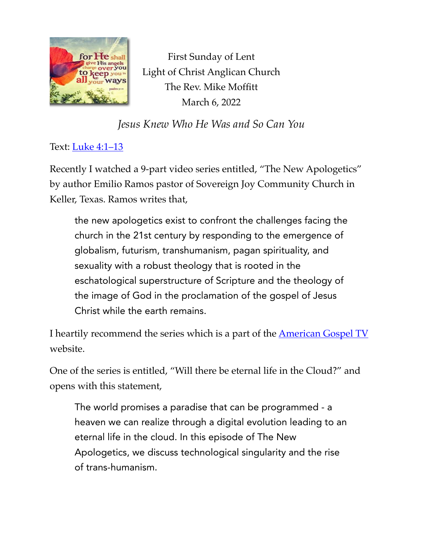

First Sunday of Lent Light of Christ Anglican Church The Rev. Mike Moffitt March 6, 2022

*Jesus Knew Who He Was and So Can You*

## Text: [Luke 4:1–13](https://www.biblegateway.com/passage/?search=Luke+4:1%E2%80%9313&version=ESV)

Recently I watched a 9-part video series entitled, "The New Apologetics" by author Emilio Ramos pastor of Sovereign Joy Community Church in Keller, Texas. Ramos writes that,

the new apologetics exist to confront the challenges facing the church in the 21st century by responding to the emergence of globalism, futurism, transhumanism, pagan spirituality, and sexuality with a robust theology that is rooted in the eschatological superstructure of Scripture and the theology of the image of God in the proclamation of the gospel of Jesus Christ while the earth remains.

I heartily recommend the series which is a part of the [American Gospel TV](https://www.watchagtv.com/) website.

One of the series is entitled, "Will there be eternal life in the Cloud?" and opens with this statement,

The world promises a paradise that can be programmed - a heaven we can realize through a digital evolution leading to an eternal life in the cloud. In this episode of The New Apologetics, we discuss technological singularity and the rise of trans-humanism.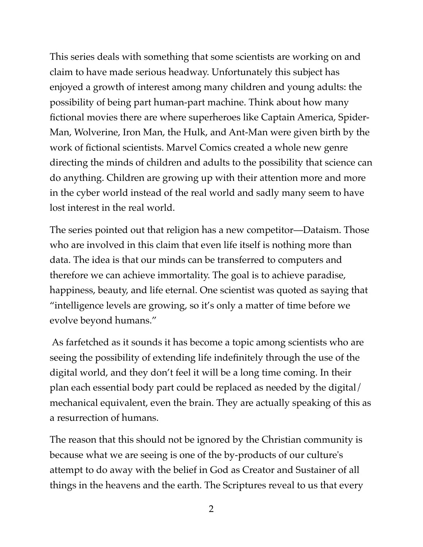This series deals with something that some scientists are working on and claim to have made serious headway. Unfortunately this subject has enjoyed a growth of interest among many children and young adults: the possibility of being part human-part machine. Think about how many fictional movies there are where superheroes like Captain America, Spider-Man, Wolverine, Iron Man, the Hulk, and Ant-Man were given birth by the work of fictional scientists. Marvel Comics created a whole new genre directing the minds of children and adults to the possibility that science can do anything. Children are growing up with their attention more and more in the cyber world instead of the real world and sadly many seem to have lost interest in the real world.

The series pointed out that religion has a new competitor—Dataism. Those who are involved in this claim that even life itself is nothing more than data. The idea is that our minds can be transferred to computers and therefore we can achieve immortality. The goal is to achieve paradise, happiness, beauty, and life eternal. One scientist was quoted as saying that "intelligence levels are growing, so it's only a matter of time before we evolve beyond humans."

 As farfetched as it sounds it has become a topic among scientists who are seeing the possibility of extending life indefinitely through the use of the digital world, and they don't feel it will be a long time coming. In their plan each essential body part could be replaced as needed by the digital/ mechanical equivalent, even the brain. They are actually speaking of this as a resurrection of humans.

The reason that this should not be ignored by the Christian community is because what we are seeing is one of the by-products of our culture's attempt to do away with the belief in God as Creator and Sustainer of all things in the heavens and the earth. The Scriptures reveal to us that every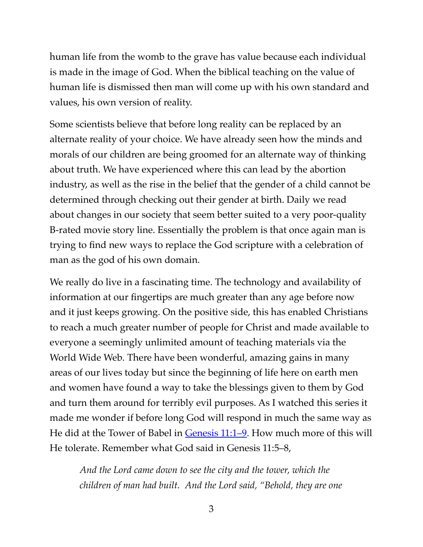human life from the womb to the grave has value because each individual is made in the image of God. When the biblical teaching on the value of human life is dismissed then man will come up with his own standard and values, his own version of reality.

Some scientists believe that before long reality can be replaced by an alternate reality of your choice. We have already seen how the minds and morals of our children are being groomed for an alternate way of thinking about truth. We have experienced where this can lead by the abortion industry, as well as the rise in the belief that the gender of a child cannot be determined through checking out their gender at birth. Daily we read about changes in our society that seem better suited to a very poor-quality B-rated movie story line. Essentially the problem is that once again man is trying to find new ways to replace the God scripture with a celebration of man as the god of his own domain.

We really do live in a fascinating time. The technology and availability of information at our fingertips are much greater than any age before now and it just keeps growing. On the positive side, this has enabled Christians to reach a much greater number of people for Christ and made available to everyone a seemingly unlimited amount of teaching materials via the World Wide Web. There have been wonderful, amazing gains in many areas of our lives today but since the beginning of life here on earth men and women have found a way to take the blessings given to them by God and turn them around for terribly evil purposes. As I watched this series it made me wonder if before long God will respond in much the same way as He did at the Tower of Babel in [Genesis 11:1–9](https://www.biblegateway.com/passage/?search=Genesis%2011:1-9&version=ESV). How much more of this will He tolerate. Remember what God said in Genesis 11:5–8,

*And the Lord came down to see the city and the tower, which the children of man had built. And the Lord said, "Behold, they are one*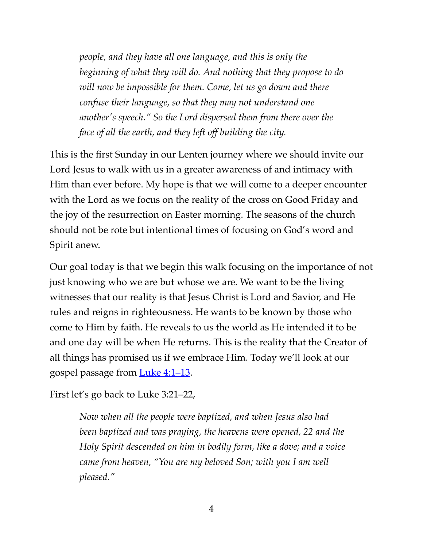*people, and they have all one language, and this is only the beginning of what they will do. And nothing that they propose to do will now be impossible for them. Come, let us go down and there confuse their language, so that they may not understand one another's speech." So the Lord dispersed them from there over the face of all the earth, and they left off building the city.*

This is the first Sunday in our Lenten journey where we should invite our Lord Jesus to walk with us in a greater awareness of and intimacy with Him than ever before. My hope is that we will come to a deeper encounter with the Lord as we focus on the reality of the cross on Good Friday and the joy of the resurrection on Easter morning. The seasons of the church should not be rote but intentional times of focusing on God's word and Spirit anew.

Our goal today is that we begin this walk focusing on the importance of not just knowing who we are but whose we are. We want to be the living witnesses that our reality is that Jesus Christ is Lord and Savior, and He rules and reigns in righteousness. He wants to be known by those who come to Him by faith. He reveals to us the world as He intended it to be and one day will be when He returns. This is the reality that the Creator of all things has promised us if we embrace Him. Today we'll look at our gospel passage from [Luke 4:1–13](https://www.biblegateway.com/passage/?search=Luke+4:1%E2%80%9313&version=ESV).

First let's go back to Luke 3:21–22,

*Now when all the people were baptized, and when Jesus also had been baptized and was praying, the heavens were opened, 22 and the Holy Spirit descended on him in bodily form, like a dove; and a voice came from heaven, "You are my beloved Son; with you I am well pleased."*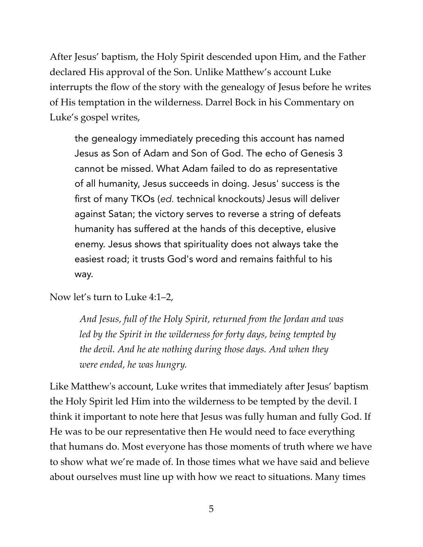After Jesus' baptism, the Holy Spirit descended upon Him, and the Father declared His approval of the Son. Unlike Matthew's account Luke interrupts the flow of the story with the genealogy of Jesus before he writes of His temptation in the wilderness. Darrel Bock in his Commentary on Luke's gospel writes,

the genealogy immediately preceding this account has named Jesus as Son of Adam and Son of God. The echo of Genesis 3 cannot be missed. What Adam failed to do as representative of all humanity, Jesus succeeds in doing. Jesus' success is the first of many TKOs (*ed.* technical knockouts*)* Jesus will deliver against Satan; the victory serves to reverse a string of defeats humanity has suffered at the hands of this deceptive, elusive enemy. Jesus shows that spirituality does not always take the easiest road; it trusts God's word and remains faithful to his way.

Now let's turn to Luke 4:1–2,

*And Jesus, full of the Holy Spirit, returned from the Jordan and was led by the Spirit in the wilderness for forty days, being tempted by the devil. And he ate nothing during those days. And when they were ended, he was hungry.*

Like Matthew's account, Luke writes that immediately after Jesus' baptism the Holy Spirit led Him into the wilderness to be tempted by the devil. I think it important to note here that Jesus was fully human and fully God. If He was to be our representative then He would need to face everything that humans do. Most everyone has those moments of truth where we have to show what we're made of. In those times what we have said and believe about ourselves must line up with how we react to situations. Many times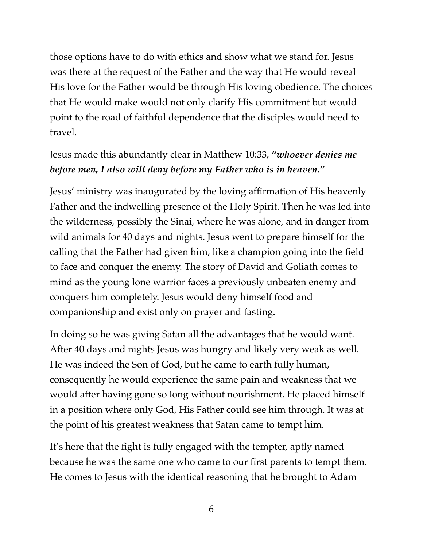those options have to do with ethics and show what we stand for. Jesus was there at the request of the Father and the way that He would reveal His love for the Father would be through His loving obedience. The choices that He would make would not only clarify His commitment but would point to the road of faithful dependence that the disciples would need to travel.

## Jesus made this abundantly clear in Matthew 10:33, *"whoever denies me before men, I also will deny before my Father who is in heaven."*

Jesus' ministry was inaugurated by the loving affirmation of His heavenly Father and the indwelling presence of the Holy Spirit. Then he was led into the wilderness, possibly the Sinai, where he was alone, and in danger from wild animals for 40 days and nights. Jesus went to prepare himself for the calling that the Father had given him, like a champion going into the field to face and conquer the enemy. The story of David and Goliath comes to mind as the young lone warrior faces a previously unbeaten enemy and conquers him completely. Jesus would deny himself food and companionship and exist only on prayer and fasting.

In doing so he was giving Satan all the advantages that he would want. After 40 days and nights Jesus was hungry and likely very weak as well. He was indeed the Son of God, but he came to earth fully human, consequently he would experience the same pain and weakness that we would after having gone so long without nourishment. He placed himself in a position where only God, His Father could see him through. It was at the point of his greatest weakness that Satan came to tempt him.

It's here that the fight is fully engaged with the tempter, aptly named because he was the same one who came to our first parents to tempt them. He comes to Jesus with the identical reasoning that he brought to Adam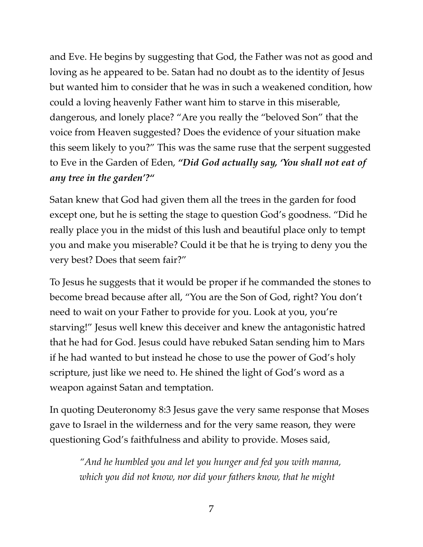and Eve. He begins by suggesting that God, the Father was not as good and loving as he appeared to be. Satan had no doubt as to the identity of Jesus but wanted him to consider that he was in such a weakened condition, how could a loving heavenly Father want him to starve in this miserable, dangerous, and lonely place? "Are you really the "beloved Son" that the voice from Heaven suggested? Does the evidence of your situation make this seem likely to you?" This was the same ruse that the serpent suggested to Eve in the Garden of Eden, *"Did God actually say, 'You shall not eat of any tree in the garden'?"*

Satan knew that God had given them all the trees in the garden for food except one, but he is setting the stage to question God's goodness. "Did he really place you in the midst of this lush and beautiful place only to tempt you and make you miserable? Could it be that he is trying to deny you the very best? Does that seem fair?"

To Jesus he suggests that it would be proper if he commanded the stones to become bread because after all, "You are the Son of God, right? You don't need to wait on your Father to provide for you. Look at you, you're starving!" Jesus well knew this deceiver and knew the antagonistic hatred that he had for God. Jesus could have rebuked Satan sending him to Mars if he had wanted to but instead he chose to use the power of God's holy scripture, just like we need to. He shined the light of God's word as a weapon against Satan and temptation.

In quoting Deuteronomy 8:3 Jesus gave the very same response that Moses gave to Israel in the wilderness and for the very same reason, they were questioning God's faithfulness and ability to provide. Moses said,

*"And he humbled you and let you hunger and fed you with manna, which you did not know, nor did your fathers know, that he might*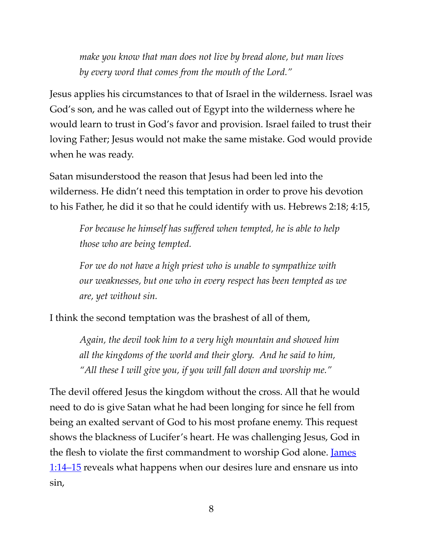*make you know that man does not live by bread alone, but man lives by every word that comes from the mouth of the Lord."*

Jesus applies his circumstances to that of Israel in the wilderness. Israel was God's son, and he was called out of Egypt into the wilderness where he would learn to trust in God's favor and provision. Israel failed to trust their loving Father; Jesus would not make the same mistake. God would provide when he was ready.

Satan misunderstood the reason that Jesus had been led into the wilderness. He didn't need this temptation in order to prove his devotion to his Father, he did it so that he could identify with us. Hebrews 2:18; 4:15,

*For because he himself has suffered when tempted, he is able to help those who are being tempted.*

*For we do not have a high priest who is unable to sympathize with our weaknesses, but one who in every respect has been tempted as we are, yet without sin.*

I think the second temptation was the brashest of all of them,

*Again, the devil took him to a very high mountain and showed him all the kingdoms of the world and their glory. And he said to him, "All these I will give you, if you will fall down and worship me."*

The devil offered Jesus the kingdom without the cross. All that he would need to do is give Satan what he had been longing for since he fell from being an exalted servant of God to his most profane enemy. This request shows the blackness of Lucifer's heart. He was challenging Jesus, God in the flesh to violate the first commandment to worship God alone. James [1:14–15](https://www.biblegateway.com/passage/?search=James+1:14%E2%80%9315&version=ESV) reveals what happens when our desires lure and ensnare us into sin,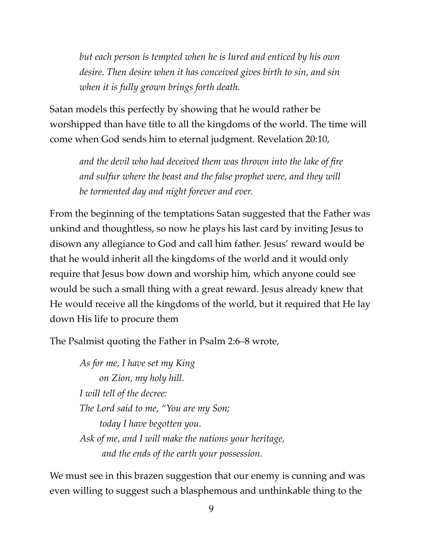*but each person is tempted when he is lured and enticed by his own desire. Then desire when it has conceived gives birth to sin, and sin when it is fully grown brings forth death.*

Satan models this perfectly by showing that he would rather be worshipped than have title to all the kingdoms of the world. The time will come when God sends him to eternal judgment. Revelation 20:10,

*and the devil who had deceived them was thrown into the lake of fire and sulfur where the beast and the false prophet were, and they will be tormented day and night forever and ever.*

From the beginning of the temptations Satan suggested that the Father was unkind and thoughtless, so now he plays his last card by inviting Jesus to disown any allegiance to God and call him father. Jesus' reward would be that he would inherit all the kingdoms of the world and it would only require that Jesus bow down and worship him, which anyone could see would be such a small thing with a great reward. Jesus already knew that He would receive all the kingdoms of the world, but it required that He lay down His life to procure them

The Psalmist quoting the Father in Psalm 2:6–8 wrote,

*As for me, I have set my King on Zion, my holy hill. I will tell of the decree: The Lord said to me, "You are my Son; today I have begotten you. Ask of me, and I will make the nations your heritage, and the ends of the earth your possession.*

We must see in this brazen suggestion that our enemy is cunning and was even willing to suggest such a blasphemous and unthinkable thing to the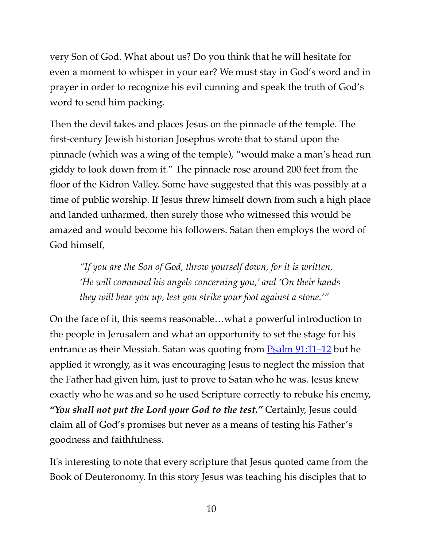very Son of God. What about us? Do you think that he will hesitate for even a moment to whisper in your ear? We must stay in God's word and in prayer in order to recognize his evil cunning and speak the truth of God's word to send him packing.

Then the devil takes and places Jesus on the pinnacle of the temple. The first-century Jewish historian Josephus wrote that to stand upon the pinnacle (which was a wing of the temple), "would make a man's head run giddy to look down from it." The pinnacle rose around 200 feet from the floor of the Kidron Valley. Some have suggested that this was possibly at a time of public worship. If Jesus threw himself down from such a high place and landed unharmed, then surely those who witnessed this would be amazed and would become his followers. Satan then employs the word of God himself,

*"If you are the Son of God, throw yourself down, for it is written, 'He will command his angels concerning you,' and 'On their hands they will bear you up, lest you strike your foot against a stone.'"*

On the face of it, this seems reasonable…what a powerful introduction to the people in Jerusalem and what an opportunity to set the stage for his entrance as their Messiah. Satan was quoting from  $\frac{P}{S}$  [Psalm 91:11–12](https://www.biblegateway.com/passage/?search=Psalm+91:11%E2%80%9312&version=ESV) but he applied it wrongly, as it was encouraging Jesus to neglect the mission that the Father had given him, just to prove to Satan who he was. Jesus knew exactly who he was and so he used Scripture correctly to rebuke his enemy, *"You shall not put the Lord your God to the test."* Certainly, Jesus could claim all of God's promises but never as a means of testing his Father's goodness and faithfulness.

It's interesting to note that every scripture that Jesus quoted came from the Book of Deuteronomy. In this story Jesus was teaching his disciples that to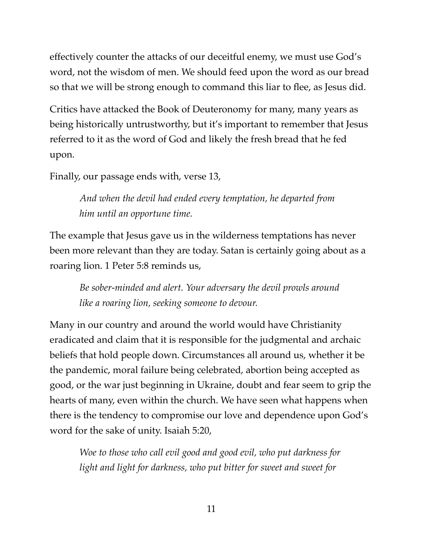effectively counter the attacks of our deceitful enemy, we must use God's word, not the wisdom of men. We should feed upon the word as our bread so that we will be strong enough to command this liar to flee, as Jesus did.

Critics have attacked the Book of Deuteronomy for many, many years as being historically untrustworthy, but it's important to remember that Jesus referred to it as the word of God and likely the fresh bread that he fed upon.

Finally, our passage ends with, verse 13,

*And when the devil had ended every temptation, he departed from him until an opportune time.*

The example that Jesus gave us in the wilderness temptations has never been more relevant than they are today. Satan is certainly going about as a roaring lion. 1 Peter 5:8 reminds us,

*Be sober-minded and alert. Your adversary the devil prowls around like a roaring lion, seeking someone to devour.*

Many in our country and around the world would have Christianity eradicated and claim that it is responsible for the judgmental and archaic beliefs that hold people down. Circumstances all around us, whether it be the pandemic, moral failure being celebrated, abortion being accepted as good, or the war just beginning in Ukraine, doubt and fear seem to grip the hearts of many, even within the church. We have seen what happens when there is the tendency to compromise our love and dependence upon God's word for the sake of unity. Isaiah 5:20,

*Woe to those who call evil good and good evil, who put darkness for light and light for darkness, who put bitter for sweet and sweet for*